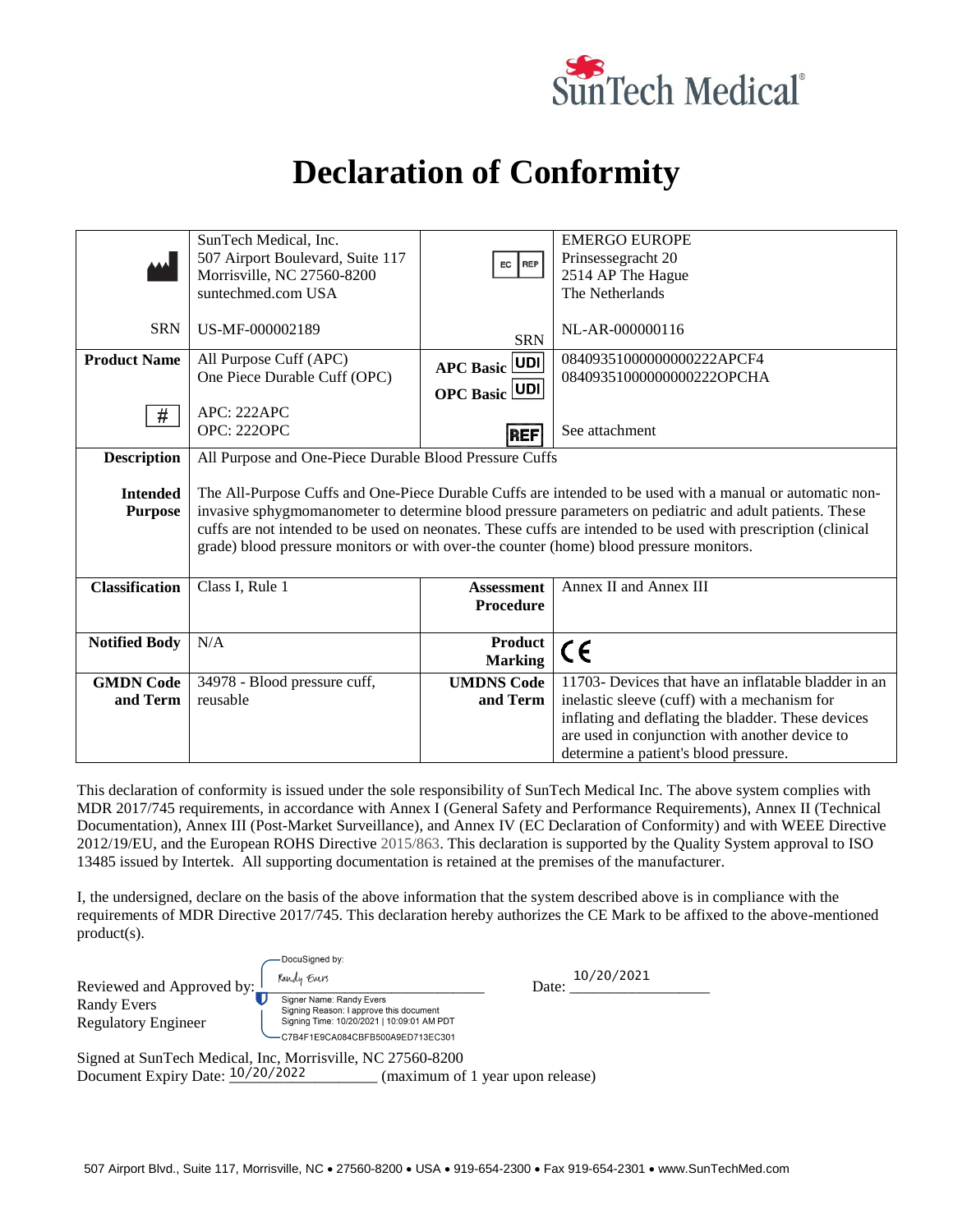

## **Declaration of Conformity**

|                       | SunTech Medical, Inc.                                                                                          |                      | <b>EMERGO EUROPE</b>                                 |
|-----------------------|----------------------------------------------------------------------------------------------------------------|----------------------|------------------------------------------------------|
|                       | 507 Airport Boulevard, Suite 117                                                                               | EC REP               | Prinsessegracht 20                                   |
|                       | Morrisville, NC 27560-8200                                                                                     |                      | 2514 AP The Hague                                    |
|                       | suntechmed.com USA                                                                                             |                      | The Netherlands                                      |
|                       |                                                                                                                |                      |                                                      |
| <b>SRN</b>            | US-MF-000002189                                                                                                |                      | NL-AR-000000116                                      |
|                       |                                                                                                                | <b>SRN</b>           |                                                      |
| <b>Product Name</b>   | All Purpose Cuff (APC)                                                                                         |                      | 08409351000000000222APCF4                            |
|                       | One Piece Durable Cuff (OPC)                                                                                   | <b>APC Basic UDI</b> | 08409351000000000222OPCHA                            |
|                       |                                                                                                                | <b>OPC Basic UDI</b> |                                                      |
| #                     | APC: 222APC                                                                                                    |                      |                                                      |
|                       | <b>OPC: 222OPC</b>                                                                                             |                      | See attachment                                       |
|                       |                                                                                                                | REF                  |                                                      |
| <b>Description</b>    | All Purpose and One-Piece Durable Blood Pressure Cuffs                                                         |                      |                                                      |
|                       |                                                                                                                |                      |                                                      |
| <b>Intended</b>       | The All-Purpose Cuffs and One-Piece Durable Cuffs are intended to be used with a manual or automatic non-      |                      |                                                      |
| <b>Purpose</b>        | invasive sphygmomanometer to determine blood pressure parameters on pediatric and adult patients. These        |                      |                                                      |
|                       | cuffs are not intended to be used on neonates. These cuffs are intended to be used with prescription (clinical |                      |                                                      |
|                       | grade) blood pressure monitors or with over-the counter (home) blood pressure monitors.                        |                      |                                                      |
|                       |                                                                                                                |                      |                                                      |
|                       |                                                                                                                |                      |                                                      |
| <b>Classification</b> | Class I, Rule 1                                                                                                | <b>Assessment</b>    | Annex II and Annex III                               |
|                       |                                                                                                                | <b>Procedure</b>     |                                                      |
|                       |                                                                                                                |                      |                                                      |
| <b>Notified Body</b>  | N/A                                                                                                            | <b>Product</b>       | CE                                                   |
|                       |                                                                                                                | <b>Marking</b>       |                                                      |
| <b>GMDN Code</b>      | 34978 - Blood pressure cuff,                                                                                   | <b>UMDNS Code</b>    | 11703- Devices that have an inflatable bladder in an |
| and Term              | reusable                                                                                                       | and Term             | inelastic sleeve (cuff) with a mechanism for         |
|                       |                                                                                                                |                      | inflating and deflating the bladder. These devices   |
|                       |                                                                                                                |                      | are used in conjunction with another device to       |
|                       |                                                                                                                |                      | determine a patient's blood pressure.                |
|                       |                                                                                                                |                      |                                                      |

This declaration of conformity is issued under the sole responsibility of SunTech Medical Inc. The above system complies with MDR 2017/745 requirements, in accordance with Annex I (General Safety and Performance Requirements), Annex II (Technical Documentation), Annex III (Post-Market Surveillance), and Annex IV (EC Declaration of Conformity) and with WEEE Directive 2012/19/EU, and the European ROHS Directive 2015/863. This declaration is supported by the Quality System approval to ISO 13485 issued by Intertek. All supporting documentation is retained at the premises of the manufacturer.

I, the undersigned, declare on the basis of the above information that the system described above is in compliance with the requirements of MDR Directive 2017/745. This declaration hereby authorizes the CE Mark to be affixed to the above-mentioned product(s).

| Reviewed and Approved by:                                  | DocuSigned by:<br>Randy Evers                                                                                                                         | 10/20/2021<br>Date: |  |  |
|------------------------------------------------------------|-------------------------------------------------------------------------------------------------------------------------------------------------------|---------------------|--|--|
| Randy Evers<br><b>Regulatory Engineer</b>                  | Signer Name: Randy Evers<br>Signing Reason: I approve this document<br>Signing Time: 10/20/2021   10:09:01 AM PDT<br>C7B4F1E9CA084CBFB500A9ED713EC301 |                     |  |  |
| Signed at SunTech Medical, Inc, Morrisville, NC 27560-8200 |                                                                                                                                                       |                     |  |  |

Document Expiry Date:  $\frac{10/20/2022}{2}$  (maximum of 1 year upon release)